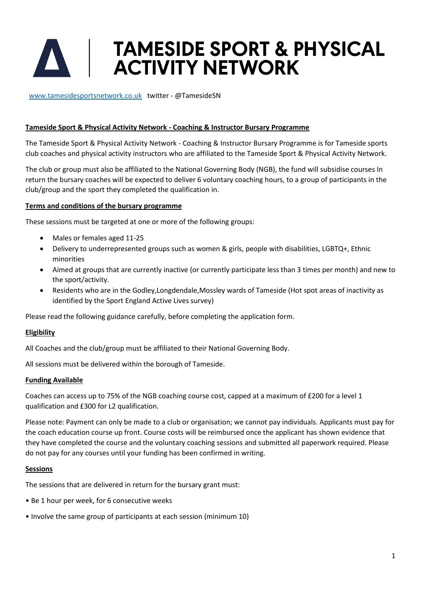# **TAMESIDE SPORT & PHYSICAL<br>ACTIVITY NETWORK**

[www.tamesidesportsnetwork.co.uk](http://www.tamesidesportsnetwork.co.uk/) twitter - @TamesideSN

#### **Tameside Sport & Physical Activity Network - Coaching & Instructor Bursary Programme**

The Tameside Sport & Physical Activity Network - Coaching & Instructor Bursary Programme is for Tameside sports club coaches and physical activity instructors who are affiliated to the Tameside Sport & Physical Activity Network.

The club or group must also be affiliated to the National Governing Body (NGB), the fund will subsidise courses In return the bursary coaches will be expected to deliver 6 voluntary coaching hours, to a group of participants in the club/group and the sport they completed the qualification in.

#### **Terms and conditions of the bursary programme**

These sessions must be targeted at one or more of the following groups:

- Males or females aged 11-25
- Delivery to underrepresented groups such as women & girls, people with disabilities, LGBTQ+, Ethnic minorities
- Aimed at groups that are currently inactive (or currently participate less than 3 times per month) and new to the sport/activity.
- Residents who are in the Godley,Longdendale,Mossley wards of Tameside (Hot spot areas of inactivity as identified by the Sport England Active Lives survey)

Please read the following guidance carefully, before completing the application form.

#### **Eligibility**

All Coaches and the club/group must be affiliated to their National Governing Body.

All sessions must be delivered within the borough of Tameside.

#### **Funding Available**

Coaches can access up to 75% of the NGB coaching course cost, capped at a maximum of £200 for a level 1 qualification and £300 for L2 qualification.

Please note: Payment can only be made to a club or organisation; we cannot pay individuals. Applicants must pay for the coach education course up front. Course costs will be reimbursed once the applicant has shown evidence that they have completed the course and the voluntary coaching sessions and submitted all paperwork required. Please do not pay for any courses until your funding has been confirmed in writing.

#### **Sessions**

The sessions that are delivered in return for the bursary grant must:

- Be 1 hour per week, for 6 consecutive weeks
- Involve the same group of participants at each session (minimum 10)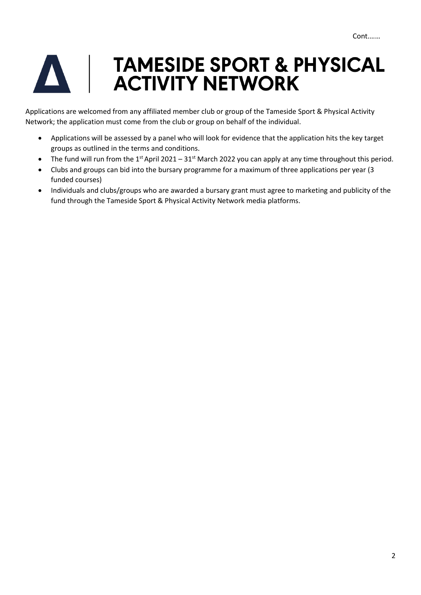## TAMESIDE SPORT & PHYSICAL **ACTIVITY NETWORK**

Applications are welcomed from any affiliated member club or group of the Tameside Sport & Physical Activity Network; the application must come from the club or group on behalf of the individual.

- Applications will be assessed by a panel who will look for evidence that the application hits the key target groups as outlined in the terms and conditions.
- The fund will run from the 1<sup>st</sup> April 2021 31<sup>st</sup> March 2022 you can apply at any time throughout this period.
- Clubs and groups can bid into the bursary programme for a maximum of three applications per year (3 funded courses)
- Individuals and clubs/groups who are awarded a bursary grant must agree to marketing and publicity of the fund through the Tameside Sport & Physical Activity Network media platforms.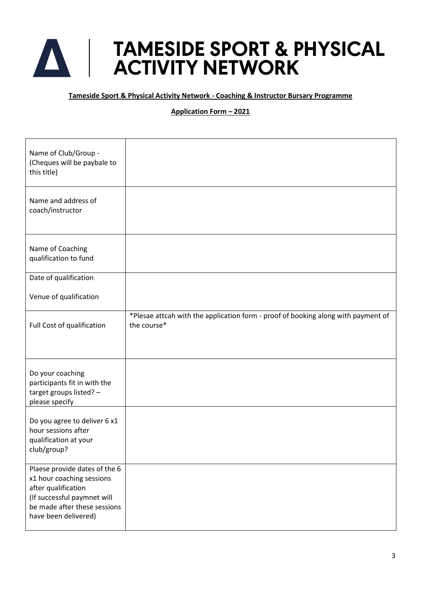### **TAMESIDE SPORT & PHYSICAL<br>ACTIVITY NETWORK** A

**Tameside Sport & Physical Activity Network - Coaching & Instructor Bursary Programme**

#### **Application Form – 2021**

| Name of Club/Group -<br>(Cheques will be paybale to<br>this title)                                                                                                       |                                                                                                  |
|--------------------------------------------------------------------------------------------------------------------------------------------------------------------------|--------------------------------------------------------------------------------------------------|
| Name and address of<br>coach/instructor                                                                                                                                  |                                                                                                  |
| Name of Coaching<br>qualification to fund                                                                                                                                |                                                                                                  |
| Date of qualification                                                                                                                                                    |                                                                                                  |
| Venue of qualification                                                                                                                                                   |                                                                                                  |
| Full Cost of qualification                                                                                                                                               | *Plesae attcah with the application form - proof of booking along with payment of<br>the course* |
| Do your coaching<br>participants fit in with the<br>target groups listed? -<br>please specify                                                                            |                                                                                                  |
| Do you agree to deliver 6 x1<br>hour sessions after<br>qualification at your<br>club/group?                                                                              |                                                                                                  |
| Plaese provide dates of the 6<br>x1 hour coaching sessions<br>after qualification<br>(If successful paymnet will<br>be made after these sessions<br>have been delivered) |                                                                                                  |